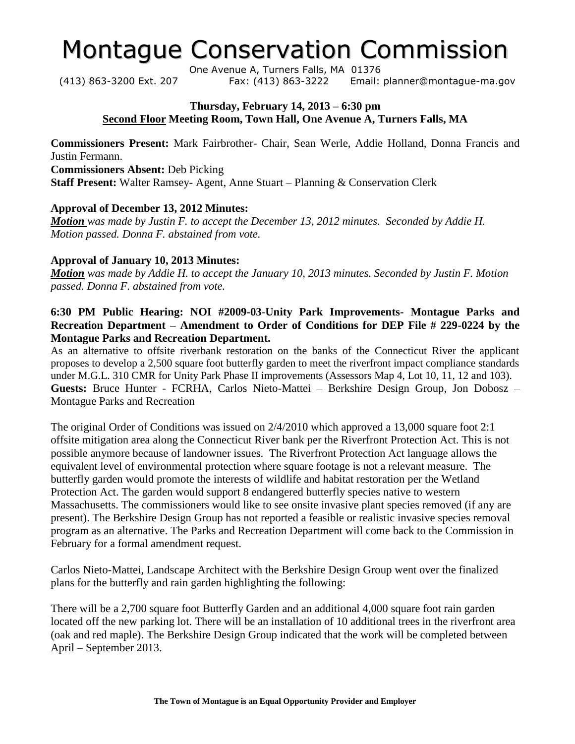# Montague Conservation Commission

One Avenue A, Turners Falls, MA 01376 (413) 863-3200 Ext. 207 Fax: (413) 863-3222 Email: planner@montague-ma.gov

#### **Thursday, February 14, 2013 – 6:30 pm Second Floor Meeting Room, Town Hall, One Avenue A, Turners Falls, MA**

**Commissioners Present:** Mark Fairbrother- Chair, Sean Werle, Addie Holland, Donna Francis and Justin Fermann. **Commissioners Absent:** Deb Picking

**Staff Present:** Walter Ramsey- Agent, Anne Stuart – Planning & Conservation Clerk

### **Approval of December 13, 2012 Minutes:**

*Motion was made by Justin F. to accept the December 13, 2012 minutes. Seconded by Addie H. Motion passed. Donna F. abstained from vote.*

### **Approval of January 10, 2013 Minutes:**

*Motion was made by Addie H. to accept the January 10, 2013 minutes. Seconded by Justin F. Motion passed. Donna F. abstained from vote.*

### **6:30 PM Public Hearing: NOI #2009-03**-**Unity Park Improvements- Montague Parks and Recreation Department – Amendment to Order of Conditions for DEP File # 229-0224 by the Montague Parks and Recreation Department.**

As an alternative to offsite riverbank restoration on the banks of the Connecticut River the applicant proposes to develop a 2,500 square foot butterfly garden to meet the riverfront impact compliance standards under M.G.L. 310 CMR for Unity Park Phase II improvements (Assessors Map 4, Lot 10, 11, 12 and 103). **Guests:** Bruce Hunter - FCRHA, Carlos Nieto-Mattei – Berkshire Design Group, Jon Dobosz – Montague Parks and Recreation

The original Order of Conditions was issued on 2/4/2010 which approved a 13,000 square foot 2:1 offsite mitigation area along the Connecticut River bank per the Riverfront Protection Act. This is not possible anymore because of landowner issues. The Riverfront Protection Act language allows the equivalent level of environmental protection where square footage is not a relevant measure. The butterfly garden would promote the interests of wildlife and habitat restoration per the Wetland Protection Act. The garden would support 8 endangered butterfly species native to western Massachusetts. The commissioners would like to see onsite invasive plant species removed (if any are present). The Berkshire Design Group has not reported a feasible or realistic invasive species removal program as an alternative. The Parks and Recreation Department will come back to the Commission in February for a formal amendment request.

Carlos Nieto-Mattei, Landscape Architect with the Berkshire Design Group went over the finalized plans for the butterfly and rain garden highlighting the following:

There will be a 2,700 square foot Butterfly Garden and an additional 4,000 square foot rain garden located off the new parking lot. There will be an installation of 10 additional trees in the riverfront area (oak and red maple). The Berkshire Design Group indicated that the work will be completed between April – September 2013.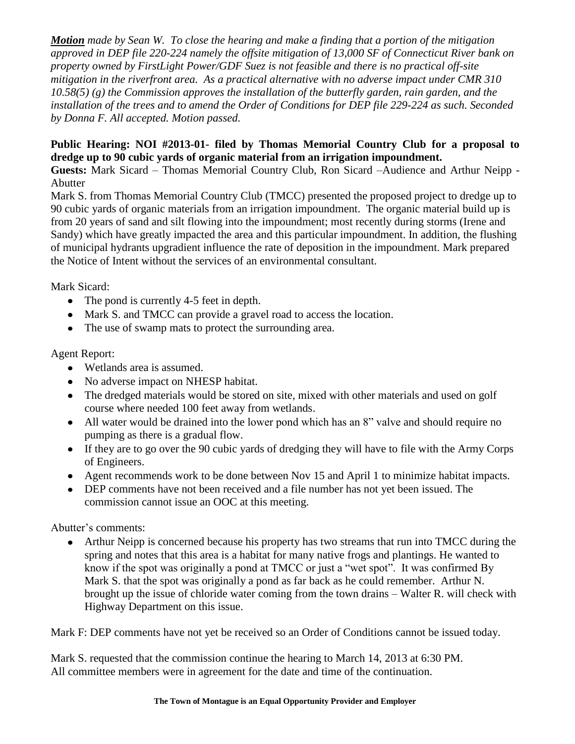*Motion made by Sean W. To close the hearing and make a finding that a portion of the mitigation approved in DEP file 220-224 namely the offsite mitigation of 13,000 SF of Connecticut River bank on property owned by FirstLight Power/GDF Suez is not feasible and there is no practical off-site mitigation in the riverfront area. As a practical alternative with no adverse impact under CMR 310 10.58(5) (g) the Commission approves the installation of the butterfly garden, rain garden, and the installation of the trees and to amend the Order of Conditions for DEP file 229-224 as such. Seconded by Donna F. All accepted. Motion passed.* 

## **Public Hearing: NOI #2013-01- filed by Thomas Memorial Country Club for a proposal to dredge up to 90 cubic yards of organic material from an irrigation impoundment.**

**Guests:** Mark Sicard – Thomas Memorial Country Club, Ron Sicard –Audience and Arthur Neipp - Abutter

Mark S. from Thomas Memorial Country Club (TMCC) presented the proposed project to dredge up to 90 cubic yards of organic materials from an irrigation impoundment. The organic material build up is from 20 years of sand and silt flowing into the impoundment; most recently during storms (Irene and Sandy) which have greatly impacted the area and this particular impoundment. In addition, the flushing of municipal hydrants upgradient influence the rate of deposition in the impoundment. Mark prepared the Notice of Intent without the services of an environmental consultant.

Mark Sicard:

- The pond is currently 4-5 feet in depth.
- Mark S. and TMCC can provide a gravel road to access the location.
- The use of swamp mats to protect the surrounding area.

Agent Report:

- Wetlands area is assumed.
- No adverse impact on NHESP habitat.
- The dredged materials would be stored on site, mixed with other materials and used on golf course where needed 100 feet away from wetlands.
- All water would be drained into the lower pond which has an 8" valve and should require no pumping as there is a gradual flow.
- If they are to go over the 90 cubic yards of dredging they will have to file with the Army Corps of Engineers.
- Agent recommends work to be done between Nov 15 and April 1 to minimize habitat impacts.
- DEP comments have not been received and a file number has not yet been issued. The commission cannot issue an OOC at this meeting.

Abutter's comments:

• Arthur Neipp is concerned because his property has two streams that run into TMCC during the spring and notes that this area is a habitat for many native frogs and plantings. He wanted to know if the spot was originally a pond at TMCC or just a "wet spot". It was confirmed By Mark S. that the spot was originally a pond as far back as he could remember. Arthur N. brought up the issue of chloride water coming from the town drains – Walter R. will check with Highway Department on this issue.

Mark F: DEP comments have not yet be received so an Order of Conditions cannot be issued today.

Mark S. requested that the commission continue the hearing to March 14, 2013 at 6:30 PM. All committee members were in agreement for the date and time of the continuation.